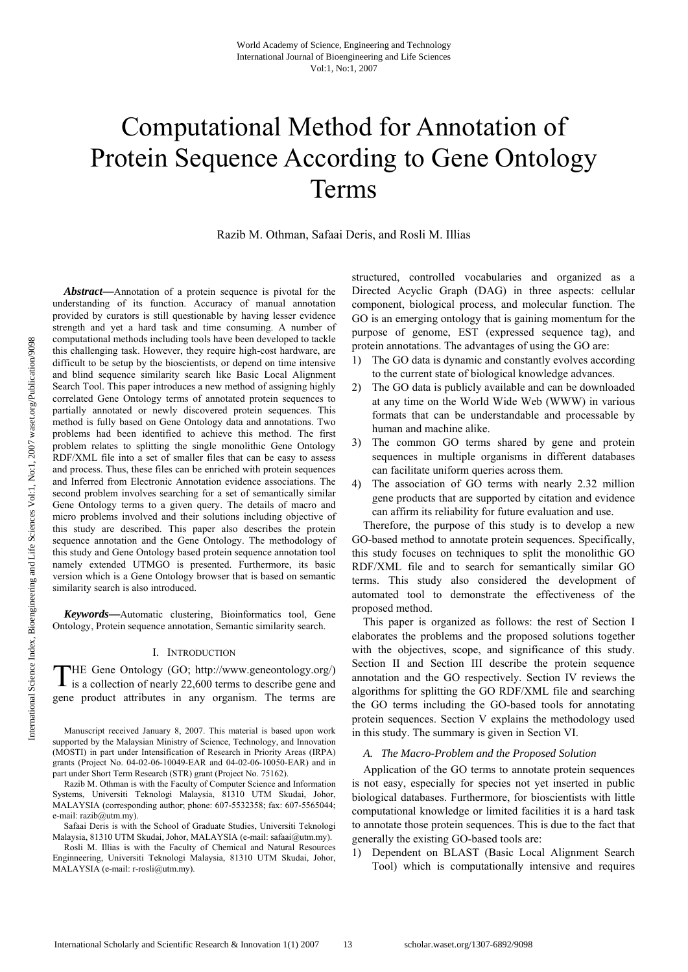# Computational Method for Annotation of Protein Sequence According to Gene Ontology Terms

Razib M. Othman, Safaai Deris, and Rosli M. Illias

*Abstract***—**Annotation of a protein sequence is pivotal for the understanding of its function. Accuracy of manual annotation provided by curators is still questionable by having lesser evidence strength and yet a hard task and time consuming. A number of computational methods including tools have been developed to tackle this challenging task. However, they require high-cost hardware, are difficult to be setup by the bioscientists, or depend on time intensive and blind sequence similarity search like Basic Local Alignment Search Tool. This paper introduces a new method of assigning highly correlated Gene Ontology terms of annotated protein sequences to partially annotated or newly discovered protein sequences. This method is fully based on Gene Ontology data and annotations. Two problems had been identified to achieve this method. The first problem relates to splitting the single monolithic Gene Ontology RDF/XML file into a set of smaller files that can be easy to assess and process. Thus, these files can be enriched with protein sequences and Inferred from Electronic Annotation evidence associations. The second problem involves searching for a set of semantically similar Gene Ontology terms to a given query. The details of macro and micro problems involved and their solutions including objective of this study are described. This paper also describes the protein sequence annotation and the Gene Ontology. The methodology of this study and Gene Ontology based protein sequence annotation tool namely extended UTMGO is presented. Furthermore, its basic version which is a Gene Ontology browser that is based on semantic similarity search is also introduced.

*Keywords***—**Automatic clustering, Bioinformatics tool, Gene Ontology, Protein sequence annotation, Semantic similarity search.

#### I. INTRODUCTION

HE Gene Ontology (GO; http://www.geneontology.org/) THE Gene Ontology (GO; http://www.geneontology.org/) is a collection of nearly 22,600 terms to describe gene and gene product attributes in any organism. The terms are

Manuscript received January 8, 2007. This material is based upon work supported by the Malaysian Ministry of Science, Technology, and Innovation (MOSTI) in part under Intensification of Research in Priority Areas (IRPA) grants (Project No. 04-02-06-10049-EAR and 04-02-06-10050-EAR) and in part under Short Term Research (STR) grant (Project No. 75162).

Razib M. Othman is with the Faculty of Computer Science and Information Systems, Universiti Teknologi Malaysia, 81310 UTM Skudai, Johor, MALAYSIA (corresponding author; phone: 607-5532358; fax: 607-5565044; e-mail: razib@utm.my).

Safaai Deris is with the School of Graduate Studies, Universiti Teknologi Malaysia, 81310 UTM Skudai, Johor, MALAYSIA (e-mail: safaai@utm.my).

Rosli M. Illias is with the Faculty of Chemical and Natural Resources Enginneering, Universiti Teknologi Malaysia, 81310 UTM Skudai, Johor, MALAYSIA (e-mail: r-rosli@utm.my).

structured, controlled vocabularies and organized as a Directed Acyclic Graph (DAG) in three aspects: cellular component, biological process, and molecular function. The GO is an emerging ontology that is gaining momentum for the purpose of genome, EST (expressed sequence tag), and protein annotations. The advantages of using the GO are:

- 1) The GO data is dynamic and constantly evolves according to the current state of biological knowledge advances.
- 2) The GO data is publicly available and can be downloaded at any time on the World Wide Web (WWW) in various formats that can be understandable and processable by human and machine alike.
- 3) The common GO terms shared by gene and protein sequences in multiple organisms in different databases can facilitate uniform queries across them.
- 4) The association of GO terms with nearly 2.32 million gene products that are supported by citation and evidence can affirm its reliability for future evaluation and use.

Therefore, the purpose of this study is to develop a new GO-based method to annotate protein sequences. Specifically, this study focuses on techniques to split the monolithic GO RDF/XML file and to search for semantically similar GO terms. This study also considered the development of automated tool to demonstrate the effectiveness of the proposed method.

This paper is organized as follows: the rest of Section I elaborates the problems and the proposed solutions together with the objectives, scope, and significance of this study. Section II and Section III describe the protein sequence annotation and the GO respectively. Section IV reviews the algorithms for splitting the GO RDF/XML file and searching the GO terms including the GO-based tools for annotating protein sequences. Section V explains the methodology used in this study. The summary is given in Section VI.

## *A. The Macro-Problem and the Proposed Solution*

Application of the GO terms to annotate protein sequences is not easy, especially for species not yet inserted in public biological databases. Furthermore, for bioscientists with little computational knowledge or limited facilities it is a hard task to annotate those protein sequences. This is due to the fact that generally the existing GO-based tools are:

1) Dependent on BLAST (Basic Local Alignment Search Tool) which is computationally intensive and requires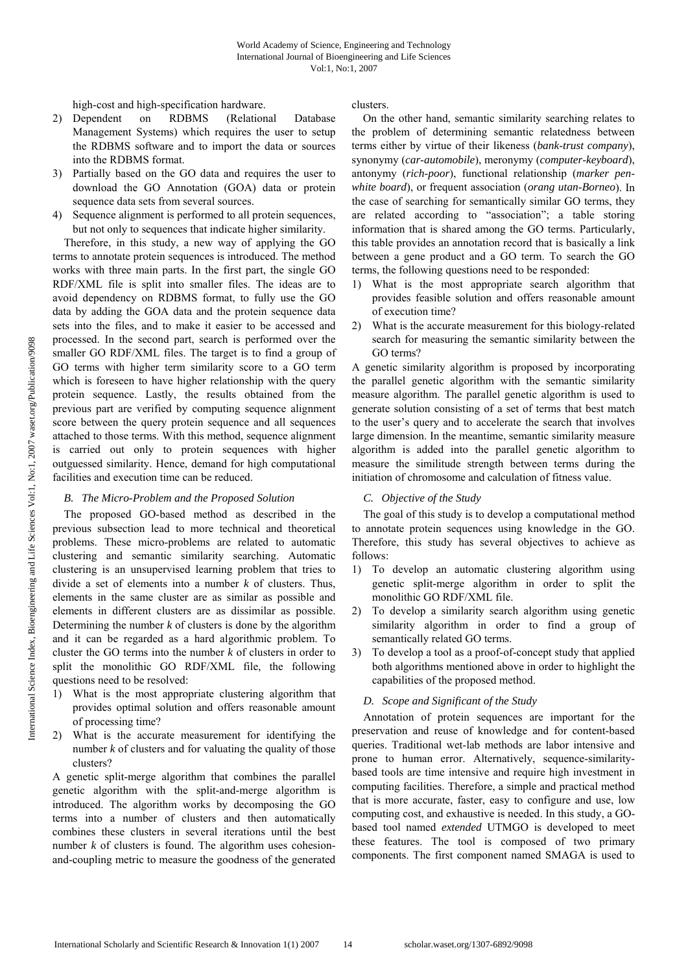high-cost and high-specification hardware.

- 2) Dependent on RDBMS (Relational Database Management Systems) which requires the user to setup the RDBMS software and to import the data or sources into the RDBMS format.
- 3) Partially based on the GO data and requires the user to download the GO Annotation (GOA) data or protein sequence data sets from several sources.
- 4) Sequence alignment is performed to all protein sequences, but not only to sequences that indicate higher similarity.

Therefore, in this study, a new way of applying the GO terms to annotate protein sequences is introduced. The method works with three main parts. In the first part, the single GO RDF/XML file is split into smaller files. The ideas are to avoid dependency on RDBMS format, to fully use the GO data by adding the GOA data and the protein sequence data sets into the files, and to make it easier to be accessed and processed. In the second part, search is performed over the smaller GO RDF/XML files. The target is to find a group of GO terms with higher term similarity score to a GO term which is foreseen to have higher relationship with the query protein sequence. Lastly, the results obtained from the previous part are verified by computing sequence alignment score between the query protein sequence and all sequences attached to those terms. With this method, sequence alignment is carried out only to protein sequences with higher outguessed similarity. Hence, demand for high computational facilities and execution time can be reduced.

# *B. The Micro-Problem and the Proposed Solution*

The proposed GO-based method as described in the previous subsection lead to more technical and theoretical problems. These micro-problems are related to automatic clustering and semantic similarity searching. Automatic clustering is an unsupervised learning problem that tries to divide a set of elements into a number *k* of clusters. Thus, elements in the same cluster are as similar as possible and elements in different clusters are as dissimilar as possible. Determining the number  $k$  of clusters is done by the algorithm and it can be regarded as a hard algorithmic problem. To cluster the GO terms into the number *k* of clusters in order to split the monolithic GO RDF/XML file, the following questions need to be resolved:

- 1) What is the most appropriate clustering algorithm that provides optimal solution and offers reasonable amount of processing time?
- 2) What is the accurate measurement for identifying the number *k* of clusters and for valuating the quality of those clusters?

A genetic split-merge algorithm that combines the parallel genetic algorithm with the split-and-merge algorithm is introduced. The algorithm works by decomposing the GO terms into a number of clusters and then automatically combines these clusters in several iterations until the best number *k* of clusters is found. The algorithm uses cohesionand-coupling metric to measure the goodness of the generated clusters.

On the other hand, semantic similarity searching relates to the problem of determining semantic relatedness between terms either by virtue of their likeness (*bank*-*trust company*), synonymy (*car*-*automobile*), meronymy (*computer*-*keyboard*), antonymy (*rich*-*poor*), functional relationship (*marker penwhite board*), or frequent association (*orang utan*-*Borneo*). In the case of searching for semantically similar GO terms, they are related according to "association"; a table storing information that is shared among the GO terms. Particularly, this table provides an annotation record that is basically a link between a gene product and a GO term. To search the GO terms, the following questions need to be responded:

- 1) What is the most appropriate search algorithm that provides feasible solution and offers reasonable amount of execution time?
- 2) What is the accurate measurement for this biology-related search for measuring the semantic similarity between the GO terms?

A genetic similarity algorithm is proposed by incorporating the parallel genetic algorithm with the semantic similarity measure algorithm. The parallel genetic algorithm is used to generate solution consisting of a set of terms that best match to the user's query and to accelerate the search that involves large dimension. In the meantime, semantic similarity measure algorithm is added into the parallel genetic algorithm to measure the similitude strength between terms during the initiation of chromosome and calculation of fitness value.

# *C. Objective of the Study*

The goal of this study is to develop a computational method to annotate protein sequences using knowledge in the GO. Therefore, this study has several objectives to achieve as follows:

- 1) To develop an automatic clustering algorithm using genetic split-merge algorithm in order to split the monolithic GO RDF/XML file.
- 2) To develop a similarity search algorithm using genetic similarity algorithm in order to find a group of semantically related GO terms.
- 3) To develop a tool as a proof-of-concept study that applied both algorithms mentioned above in order to highlight the capabilities of the proposed method.

# *D. Scope and Significant of the Study*

Annotation of protein sequences are important for the preservation and reuse of knowledge and for content-based queries. Traditional wet-lab methods are labor intensive and prone to human error. Alternatively, sequence-similaritybased tools are time intensive and require high investment in computing facilities. Therefore, a simple and practical method that is more accurate, faster, easy to configure and use, low computing cost, and exhaustive is needed. In this study, a GObased tool named *extended* UTMGO is developed to meet these features. The tool is composed of two primary components. The first component named SMAGA is used to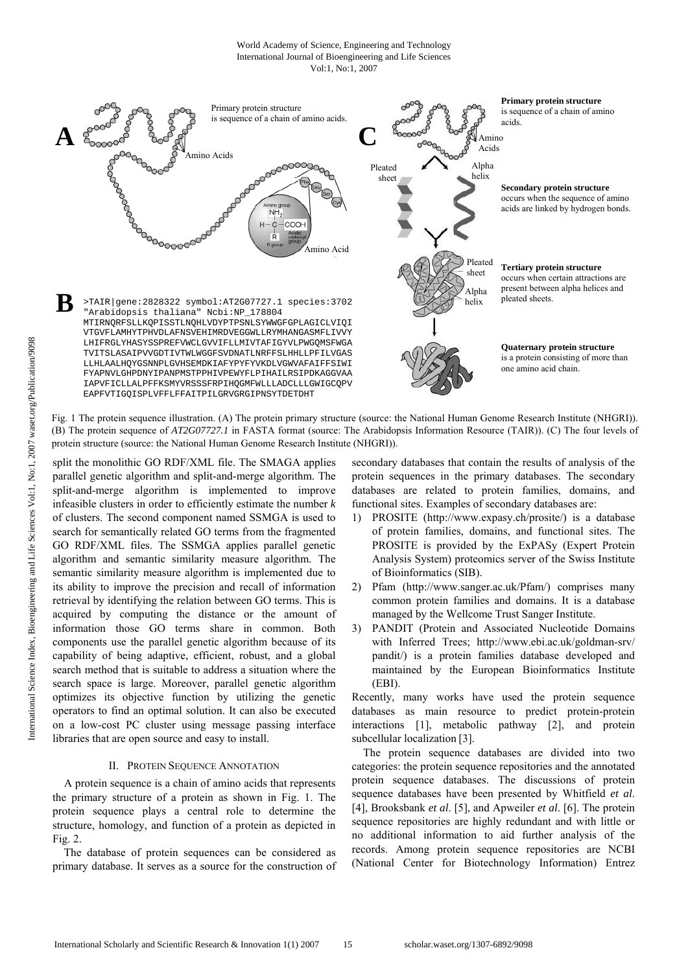#### World Academy of Science, Engineering and Technology International Journal of Bioengineering and Life Sciences Vol:1, No:1, 2007



Fig. 1 The protein sequence illustration. (A) The protein primary structure (source: the National Human Genome Research Institute (NHGRI)). (B) The protein sequence of *AT2G07727.1* in FASTA format (source: The Arabidopsis Information Resource (TAIR)). (C) The four levels of protein structure (source: the National Human Genome Research Institute (NHGRI)).

split the monolithic GO RDF/XML file. The SMAGA applies parallel genetic algorithm and split-and-merge algorithm. The split-and-merge algorithm is implemented to improve infeasible clusters in order to efficiently estimate the number *k* of clusters. The second component named SSMGA is used to search for semantically related GO terms from the fragmented GO RDF/XML files. The SSMGA applies parallel genetic algorithm and semantic similarity measure algorithm. The semantic similarity measure algorithm is implemented due to its ability to improve the precision and recall of information retrieval by identifying the relation between GO terms. This is acquired by computing the distance or the amount of information those GO terms share in common. Both components use the parallel genetic algorithm because of its capability of being adaptive, efficient, robust, and a global search method that is suitable to address a situation where the search space is large. Moreover, parallel genetic algorithm optimizes its objective function by utilizing the genetic operators to find an optimal solution. It can also be executed on a low-cost PC cluster using message passing interface libraries that are open source and easy to install.

## II. PROTEIN SEQUENCE ANNOTATION

A protein sequence is a chain of amino acids that represents the primary structure of a protein as shown in Fig. 1. The protein sequence plays a central role to determine the structure, homology, and function of a protein as depicted in Fig. 2.

The database of protein sequences can be considered as primary database. It serves as a source for the construction of secondary databases that contain the results of analysis of the protein sequences in the primary databases. The secondary databases are related to protein families, domains, and functional sites. Examples of secondary databases are:

- 1) PROSITE (http://www.expasy.ch/prosite/) is a database of protein families, domains, and functional sites. The PROSITE is provided by the ExPASy (Expert Protein Analysis System) proteomics server of the Swiss Institute of Bioinformatics (SIB).
- 2) Pfam (http://www.sanger.ac.uk/Pfam/) comprises many common protein families and domains. It is a database managed by the Wellcome Trust Sanger Institute.
- 3) PANDIT (Protein and Associated Nucleotide Domains with Inferred Trees; http://www.ebi.ac.uk/goldman-srv/ pandit/) is a protein families database developed and maintained by the European Bioinformatics Institute (EBI).

Recently, many works have used the protein sequence databases as main resource to predict protein-protein interactions [1], metabolic pathway [2], and protein subcellular localization [3].

The protein sequence databases are divided into two categories: the protein sequence repositories and the annotated protein sequence databases. The discussions of protein sequence databases have been presented by Whitfield *et al*. [4], Brooksbank *et al*. [5], and Apweiler *et al*. [6]. The protein sequence repositories are highly redundant and with little or no additional information to aid further analysis of the records. Among protein sequence repositories are NCBI (National Center for Biotechnology Information) Entrez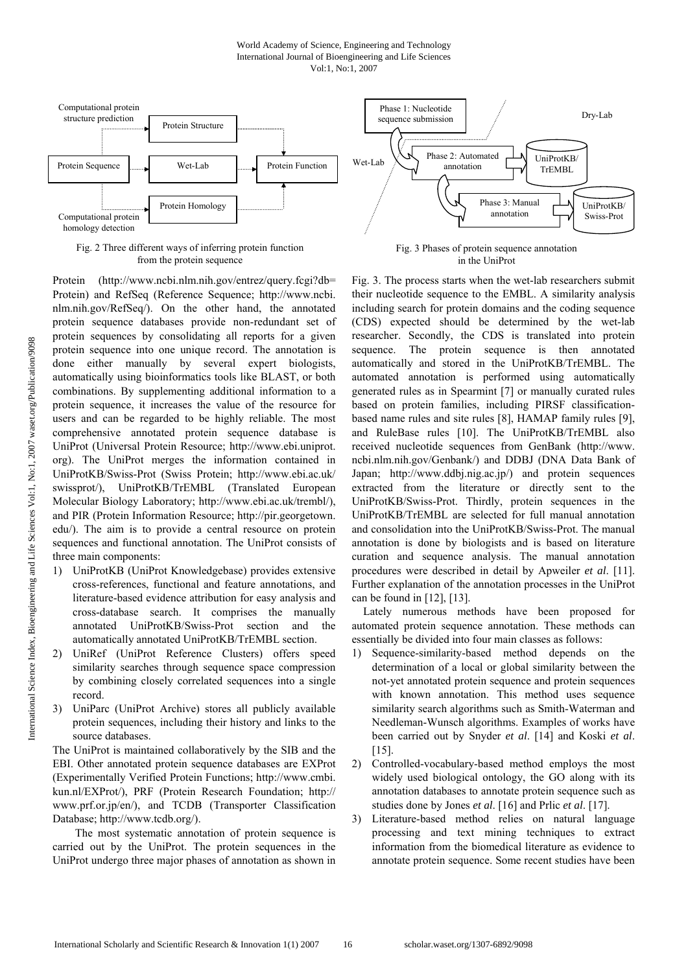#### World Academy of Science, Engineering and Technology International Journal of Bioengineering and Life Sciences Vol:1, No:1, 2007



Fig. 2 Three different ways of inferring protein function from the protein sequence

Protein (http://www.ncbi.nlm.nih.gov/entrez/query.fcgi?db= Protein) and RefSeq (Reference Sequence; http://www.ncbi. nlm.nih.gov/RefSeq/). On the other hand, the annotated protein sequence databases provide non-redundant set of protein sequences by consolidating all reports for a given protein sequence into one unique record. The annotation is done either manually by several expert biologists, automatically using bioinformatics tools like BLAST, or both combinations. By supplementing additional information to a protein sequence, it increases the value of the resource for users and can be regarded to be highly reliable. The most comprehensive annotated protein sequence database is UniProt (Universal Protein Resource; http://www.ebi.uniprot. org). The UniProt merges the information contained in UniProtKB/Swiss-Prot (Swiss Protein; http://www.ebi.ac.uk/ swissprot/), UniProtKB/TrEMBL (Translated European Molecular Biology Laboratory; http://www.ebi.ac.uk/trembl/), and PIR (Protein Information Resource; http://pir.georgetown. edu/). The aim is to provide a central resource on protein sequences and functional annotation. The UniProt consists of three main components:

- 1) UniProtKB (UniProt Knowledgebase) provides extensive cross-references, functional and feature annotations, and literature-based evidence attribution for easy analysis and cross-database search. It comprises the manually annotated UniProtKB/Swiss-Prot section and the automatically annotated UniProtKB/TrEMBL section.
- 2) UniRef (UniProt Reference Clusters) offers speed similarity searches through sequence space compression by combining closely correlated sequences into a single record.
- 3) UniParc (UniProt Archive) stores all publicly available protein sequences, including their history and links to the source databases.

The UniProt is maintained collaboratively by the SIB and the EBI. Other annotated protein sequence databases are EXProt (Experimentally Verified Protein Functions; http://www.cmbi. kun.nl/EXProt/), PRF (Protein Research Foundation; http:// www.prf.or.jp/en/), and TCDB (Transporter Classification Database; http://www.tcdb.org/).

 The most systematic annotation of protein sequence is carried out by the UniProt. The protein sequences in the UniProt undergo three major phases of annotation as shown in



Fig. 3 Phases of protein sequence annotation in the UniProt

Fig. 3. The process starts when the wet-lab researchers submit their nucleotide sequence to the EMBL. A similarity analysis including search for protein domains and the coding sequence (CDS) expected should be determined by the wet-lab researcher. Secondly, the CDS is translated into protein sequence. The protein sequence is then annotated automatically and stored in the UniProtKB/TrEMBL. The automated annotation is performed using automatically generated rules as in Spearmint [7] or manually curated rules based on protein families, including PIRSF classificationbased name rules and site rules [8], HAMAP family rules [9], and RuleBase rules [10]. The UniProtKB/TrEMBL also received nucleotide sequences from GenBank (http://www. ncbi.nlm.nih.gov/Genbank/) and DDBJ (DNA Data Bank of Japan; http://www.ddbj.nig.ac.jp/) and protein sequences extracted from the literature or directly sent to the UniProtKB/Swiss-Prot. Thirdly, protein sequences in the UniProtKB/TrEMBL are selected for full manual annotation and consolidation into the UniProtKB/Swiss-Prot. The manual annotation is done by biologists and is based on literature curation and sequence analysis. The manual annotation procedures were described in detail by Apweiler *et al*. [11]. Further explanation of the annotation processes in the UniProt can be found in [12], [13].

Lately numerous methods have been proposed for automated protein sequence annotation. These methods can essentially be divided into four main classes as follows:

- 1) Sequence-similarity-based method depends on the determination of a local or global similarity between the not-yet annotated protein sequence and protein sequences with known annotation. This method uses sequence similarity search algorithms such as Smith-Waterman and Needleman-Wunsch algorithms. Examples of works have been carried out by Snyder *et al*. [14] and Koski *et al*. [15].
- 2) Controlled-vocabulary-based method employs the most widely used biological ontology, the GO along with its annotation databases to annotate protein sequence such as studies done by Jones *et al*. [16] and Prlic *et al*. [17].
- 3) Literature-based method relies on natural language processing and text mining techniques to extract information from the biomedical literature as evidence to annotate protein sequence. Some recent studies have been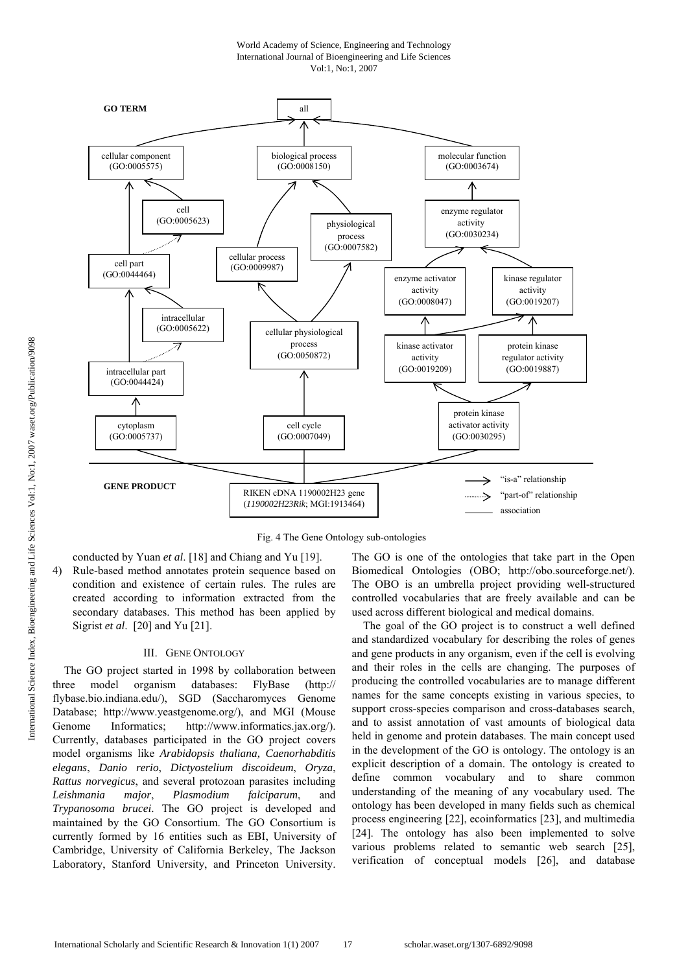World Academy of Science, Engineering and Technology International Journal of Bioengineering and Life Sciences Vol:1, No:1, 2007



Fig. 4 The Gene Ontology sub-ontologies

conducted by Yuan *et al*. [18] and Chiang and Yu [19]. 4) Rule-based method annotates protein sequence based on condition and existence of certain rules. The rules are created according to information extracted from the secondary databases. This method has been applied by Sigrist *et al*. [20] and Yu [21].

#### III. GENE ONTOLOGY

The GO project started in 1998 by collaboration between three model organism databases: FlyBase (http:// flybase.bio.indiana.edu/), SGD (Saccharomyces Genome Database; http://www.yeastgenome.org/), and MGI (Mouse Genome Informatics; http://www.informatics.jax.org/). Currently, databases participated in the GO project covers model organisms like *Arabidopsis thaliana, Caenorhabditis elegans*, *Danio rerio*, *Dictyostelium discoideum*, *Oryza*, *Rattus norvegicus*, and several protozoan parasites including *Leishmania major*, *Plasmodium falciparum*, and *Trypanosoma brucei*. The GO project is developed and maintained by the GO Consortium. The GO Consortium is currently formed by 16 entities such as EBI, University of Cambridge, University of California Berkeley, The Jackson Laboratory, Stanford University, and Princeton University. The GO is one of the ontologies that take part in the Open Biomedical Ontologies (OBO; http://obo.sourceforge.net/). The OBO is an umbrella project providing well-structured controlled vocabularies that are freely available and can be used across different biological and medical domains.

The goal of the GO project is to construct a well defined and standardized vocabulary for describing the roles of genes and gene products in any organism, even if the cell is evolving and their roles in the cells are changing. The purposes of producing the controlled vocabularies are to manage different names for the same concepts existing in various species, to support cross-species comparison and cross-databases search, and to assist annotation of vast amounts of biological data held in genome and protein databases. The main concept used in the development of the GO is ontology. The ontology is an explicit description of a domain. The ontology is created to define common vocabulary and to share common understanding of the meaning of any vocabulary used. The ontology has been developed in many fields such as chemical process engineering [22], ecoinformatics [23], and multimedia [24]. The ontology has also been implemented to solve various problems related to semantic web search [25], verification of conceptual models [26], and database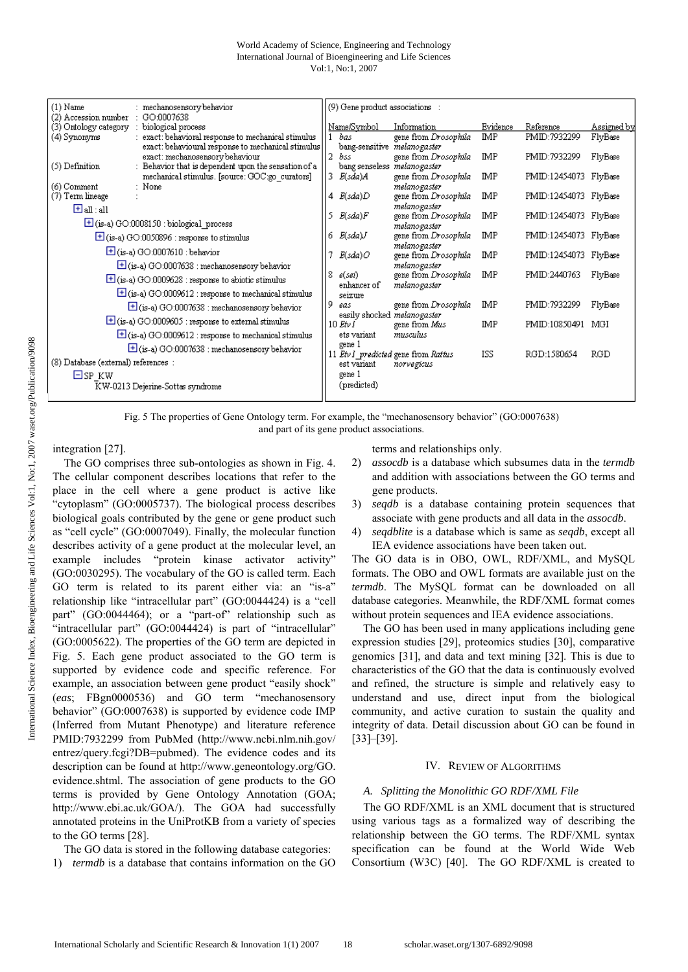| $(1)$ Name<br>: mechanosensory behavior                                               | (9) Gene product associations :                                                                                        |
|---------------------------------------------------------------------------------------|------------------------------------------------------------------------------------------------------------------------|
| (2) Accession number :<br>GO:0007638<br>(3) Ontology category :<br>biological process | Name/Symbol<br>Evidence<br>Assigned by<br>Information<br>Reference                                                     |
| : exact: behavioral response to mechanical stimulus.<br>(4) Synonyms                  | <b>IMP</b><br>FlyBase<br>gene from Drosophila<br>PMID:7932299<br>bas                                                   |
| exact: behavioural response to mechanical stimulus<br>exact: mechanosensory behaviour | bang-sensitive melanogaster<br>$\overline{2}$<br>bss<br>gene from Dr <i>osophila</i><br>IMP<br>PMID:7932299<br>FlyBase |
| (5) Definition<br>: Behavior that is dependent upon the sensation of a $\,$           | bang senseless melanogaster                                                                                            |
| mechanical stimulus. [source: GOC:go curators]<br>: None<br>(6) Comment               | 3.<br>PMID:12454073 FlyBase<br>E(sda)A<br>gene from Drosophila<br><b>IMP</b><br>melanogaster                           |
| (7) Term lineage                                                                      | $4$ $E(sda)D$<br>gene from Drosophila<br>IMP<br>PMID:12454073 FlyBase                                                  |
| $\boxplus$ all : all                                                                  | melanogaster<br>-5.<br>E(sda)F<br>gene from Drosophila<br><b>IMP</b><br>PMID:12454073 FlyBase                          |
| $\pm$ (is-a) GO:0008150 : biological process                                          | melanogaster                                                                                                           |
| $\boxed{\pm}$ (is-a) GO:0050896 : response to stimulus                                | gene from Drosophila<br>IMP<br>E(sda)J<br>PMID:12454073 FlyBase<br>6.                                                  |
| $\mathbf{\Xi}$ (is-a) GO:0007610 : behavior                                           | melanogaster<br>E(sda)O<br>gene from Drosophila<br>IMP<br>PMID:12454073 FlyBase                                        |
| $\pm$ (is-a) GO:0007638 : mechanosensory behavior                                     | melanogaster<br>IMP                                                                                                    |
| $\pm$ (is-a) GO:0009628 : response to abiotic stimulus                                | 8<br>gene from Drosophila<br>PMID:2440763<br>FlyBase<br>e(sei)<br>melanogaster<br>enhancer of                          |
| $\pm$ (is-a) GO:0009612 : response to mechanical stimulus                             | seizure                                                                                                                |
| $\pm$ (is-a) GO:0007638 : mechanosensory behavior                                     | 9<br>IMP<br>gene from Drosophila<br>PMID:7932299<br>FlyBase<br>eas<br>easily shocked melanogaster                      |
| $\blacksquare$ (is-a) GO:0009605 : response to external stimulus                      | <b>IMP</b><br>$10$ Etv I<br>gene from Mus<br>PMID:10850491<br>MGI                                                      |
| $\pm$ (is-a) GO:0009612 : response to mechanical stimulus                             | ets variant<br>musculus<br>gene 1                                                                                      |
| $\pm$ (is-a) GO:0007638 : mechanosensory behavior                                     | <b>ISS</b><br>RGD:1580654<br>RGD<br>11 Etv1 predicted gene from Rattus                                                 |
| (8) Database (external) references :                                                  | est variant<br>norvegicus<br>gene 1                                                                                    |
| $\Box$ SP KW<br>KW-0213 Dejerine-Sottas syndrome                                      | (predicted)                                                                                                            |
|                                                                                       |                                                                                                                        |

Fig. 5 The properties of Gene Ontology term. For example, the "mechanosensory behavior" (GO:0007638) and part of its gene product associations.

# integration [27].

The GO comprises three sub-ontologies as shown in Fig. 4. The cellular component describes locations that refer to the place in the cell where a gene product is active like "cytoplasm" (GO:0005737). The biological process describes biological goals contributed by the gene or gene product such as "cell cycle" (GO:0007049). Finally, the molecular function describes activity of a gene product at the molecular level, an example includes "protein kinase activator activity" (GO:0030295). The vocabulary of the GO is called term. Each GO term is related to its parent either via: an "is-a" relationship like "intracellular part" (GO:0044424) is a "cell part" (GO:0044464); or a "part-of" relationship such as "intracellular part" (GO:0044424) is part of "intracellular" (GO:0005622). The properties of the GO term are depicted in Fig. 5. Each gene product associated to the GO term is supported by evidence code and specific reference. For example, an association between gene product "easily shock" (*eas*; FBgn0000536) and GO term "mechanosensory behavior" (GO:0007638) is supported by evidence code IMP (Inferred from Mutant Phenotype) and literature reference PMID:7932299 from PubMed (http://www.ncbi.nlm.nih.gov/ entrez/query.fcgi?DB=pubmed). The evidence codes and its description can be found at http://www.geneontology.org/GO. evidence.shtml. The association of gene products to the GO terms is provided by Gene Ontology Annotation (GOA; http://www.ebi.ac.uk/GOA/). The GOA had successfully annotated proteins in the UniProtKB from a variety of species to the GO terms [28].

The GO data is stored in the following database categories: 1) *termdb* is a database that contains information on the GO terms and relationships only.

- 2) *assocdb* is a database which subsumes data in the *termdb* and addition with associations between the GO terms and gene products.
- 3) *seqdb* is a database containing protein sequences that associate with gene products and all data in the *assocdb*.
- 4) *seqdblite* is a database which is same as *seqdb*, except all IEA evidence associations have been taken out.

The GO data is in OBO, OWL, RDF/XML, and MySQL formats. The OBO and OWL formats are available just on the *termdb*. The MySQL format can be downloaded on all database categories. Meanwhile, the RDF/XML format comes without protein sequences and IEA evidence associations.

The GO has been used in many applications including gene expression studies [29], proteomics studies [30], comparative genomics [31], and data and text mining [32]. This is due to characteristics of the GO that the data is continuously evolved and refined, the structure is simple and relatively easy to understand and use, direct input from the biological community, and active curation to sustain the quality and integrity of data. Detail discussion about GO can be found in [33]–[39].

# IV. REVIEW OF ALGORITHMS

# *A. Splitting the Monolithic GO RDF/XML File*

The GO RDF/XML is an XML document that is structured using various tags as a formalized way of describing the relationship between the GO terms. The RDF/XML syntax specification can be found at the World Wide Web Consortium (W3C) [40]. The GO RDF/XML is created to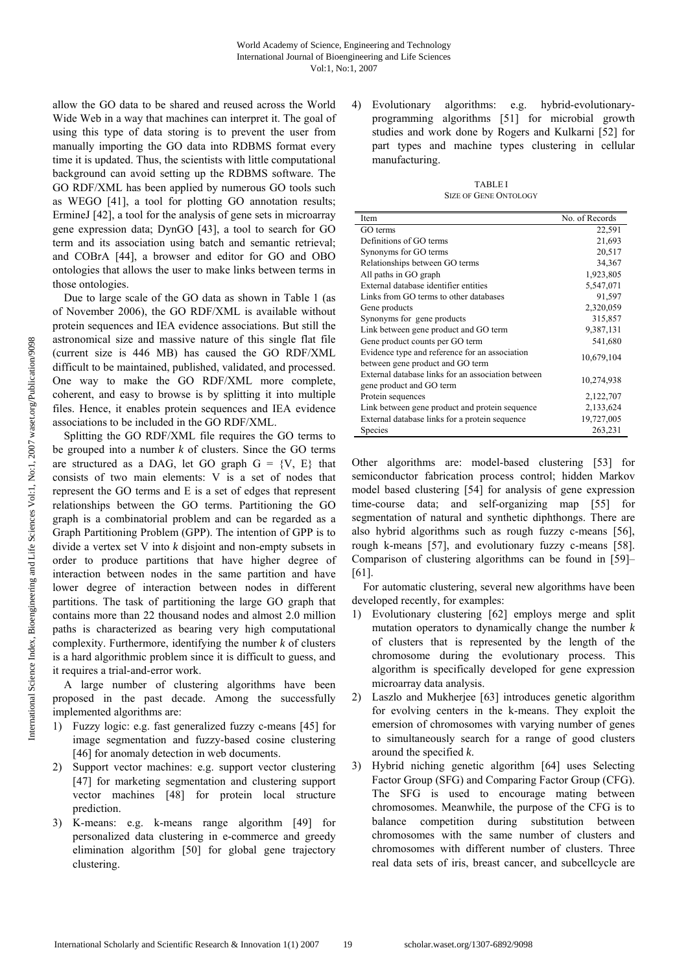allow the GO data to be shared and reused across the World Wide Web in a way that machines can interpret it. The goal of using this type of data storing is to prevent the user from manually importing the GO data into RDBMS format every time it is updated. Thus, the scientists with little computational background can avoid setting up the RDBMS software. The GO RDF/XML has been applied by numerous GO tools such as WEGO [41], a tool for plotting GO annotation results; ErmineJ [42], a tool for the analysis of gene sets in microarray gene expression data; DynGO [43], a tool to search for GO term and its association using batch and semantic retrieval; and COBrA [44], a browser and editor for GO and OBO ontologies that allows the user to make links between terms in those ontologies.

Due to large scale of the GO data as shown in Table 1 (as of November 2006), the GO RDF/XML is available without protein sequences and IEA evidence associations. But still the astronomical size and massive nature of this single flat file (current size is 446 MB) has caused the GO RDF/XML difficult to be maintained, published, validated, and processed. One way to make the GO RDF/XML more complete, coherent, and easy to browse is by splitting it into multiple files. Hence, it enables protein sequences and IEA evidence associations to be included in the GO RDF/XML.

Splitting the GO RDF/XML file requires the GO terms to be grouped into a number *k* of clusters. Since the GO terms are structured as a DAG, let GO graph  $G = \{V, E\}$  that consists of two main elements: V is a set of nodes that represent the GO terms and E is a set of edges that represent relationships between the GO terms. Partitioning the GO graph is a combinatorial problem and can be regarded as a Graph Partitioning Problem (GPP). The intention of GPP is to divide a vertex set V into *k* disjoint and non-empty subsets in order to produce partitions that have higher degree of interaction between nodes in the same partition and have lower degree of interaction between nodes in different partitions. The task of partitioning the large GO graph that contains more than 22 thousand nodes and almost 2.0 million paths is characterized as bearing very high computational complexity. Furthermore, identifying the number *k* of clusters is a hard algorithmic problem since it is difficult to guess, and it requires a trial-and-error work.

A large number of clustering algorithms have been proposed in the past decade. Among the successfully implemented algorithms are:

- 1) Fuzzy logic: e.g. fast generalized fuzzy c-means [45] for image segmentation and fuzzy-based cosine clustering [46] for anomaly detection in web documents.
- 2) Support vector machines: e.g. support vector clustering [47] for marketing segmentation and clustering support vector machines [48] for protein local structure prediction.
- 3) K-means: e.g. k-means range algorithm [49] for personalized data clustering in e-commerce and greedy elimination algorithm [50] for global gene trajectory clustering.

4) Evolutionary algorithms: e.g. hybrid-evolutionaryprogramming algorithms [51] for microbial growth studies and work done by Rogers and Kulkarni [52] for part types and machine types clustering in cellular manufacturing.

TABLE I SIZE OF GENE ONTOLOGY

| Item                                               | No. of Records |  |
|----------------------------------------------------|----------------|--|
| GO terms                                           | 22,591         |  |
| Definitions of GO terms                            | 21,693         |  |
| Synonyms for GO terms                              | 20,517         |  |
| Relationships between GO terms                     | 34,367         |  |
| All paths in GO graph                              | 1,923,805      |  |
| External database identifier entities              | 5,547,071      |  |
| Links from GO terms to other databases             | 91,597         |  |
| Gene products                                      | 2,320,059      |  |
| Synonyms for gene products                         | 315,857        |  |
| Link between gene product and GO term              | 9,387,131      |  |
| Gene product counts per GO term                    | 541,680        |  |
| Evidence type and reference for an association     |                |  |
| between gene product and GO term                   | 10,679,104     |  |
| External database links for an association between | 10,274,938     |  |
| gene product and GO term                           |                |  |
| Protein sequences                                  | 2,122,707      |  |
| Link between gene product and protein sequence     | 2,133,624      |  |
| External database links for a protein sequence     | 19,727,005     |  |
| Species                                            | 263,231        |  |

Other algorithms are: model-based clustering [53] for semiconductor fabrication process control; hidden Markov model based clustering [54] for analysis of gene expression time-course data; and self-organizing map [55] for segmentation of natural and synthetic diphthongs. There are also hybrid algorithms such as rough fuzzy c-means [56], rough k-means [57], and evolutionary fuzzy c-means [58]. Comparison of clustering algorithms can be found in [59]– [61].

For automatic clustering, several new algorithms have been developed recently, for examples:

- 1) Evolutionary clustering [62] employs merge and split mutation operators to dynamically change the number *k*  of clusters that is represented by the length of the chromosome during the evolutionary process. This algorithm is specifically developed for gene expression microarray data analysis.
- 2) Laszlo and Mukherjee [63] introduces genetic algorithm for evolving centers in the k-means. They exploit the emersion of chromosomes with varying number of genes to simultaneously search for a range of good clusters around the specified *k*.
- 3) Hybrid niching genetic algorithm [64] uses Selecting Factor Group (SFG) and Comparing Factor Group (CFG). The SFG is used to encourage mating between chromosomes. Meanwhile, the purpose of the CFG is to balance competition during substitution between chromosomes with the same number of clusters and chromosomes with different number of clusters. Three real data sets of iris, breast cancer, and subcellcycle are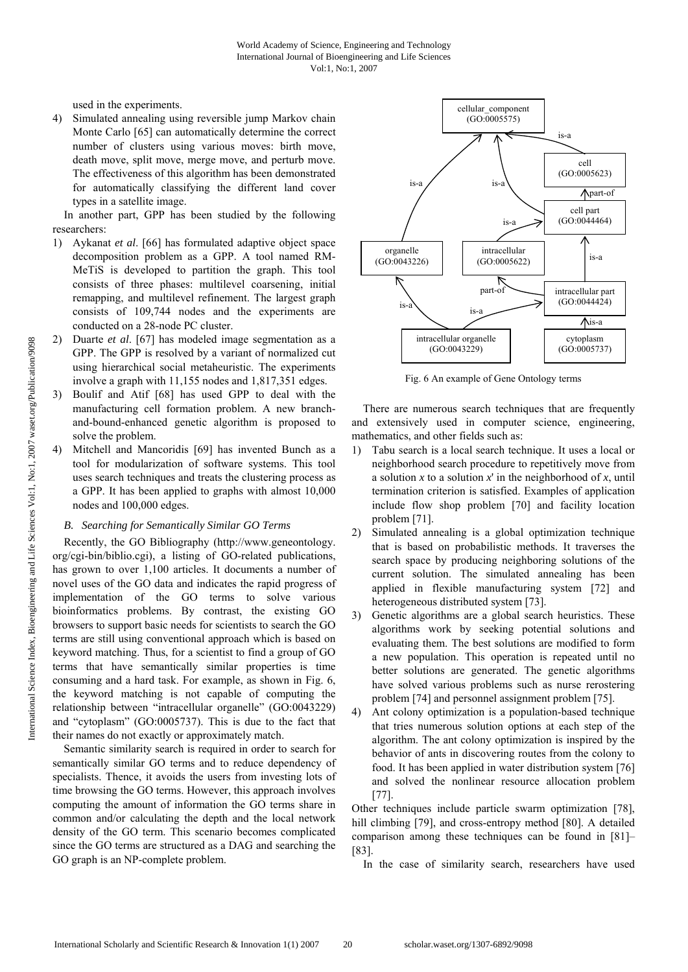used in the experiments.

4) Simulated annealing using reversible jump Markov chain Monte Carlo [65] can automatically determine the correct number of clusters using various moves: birth move, death move, split move, merge move, and perturb move. The effectiveness of this algorithm has been demonstrated for automatically classifying the different land cover types in a satellite image.

In another part, GPP has been studied by the following researchers:

- 1) Aykanat *et al*. [66] has formulated adaptive object space decomposition problem as a GPP. A tool named RM-MeTiS is developed to partition the graph. This tool consists of three phases: multilevel coarsening, initial remapping, and multilevel refinement. The largest graph consists of 109,744 nodes and the experiments are conducted on a 28-node PC cluster.
- 2) Duarte *et al*. [67] has modeled image segmentation as a GPP. The GPP is resolved by a variant of normalized cut using hierarchical social metaheuristic. The experiments involve a graph with 11,155 nodes and 1,817,351 edges.
- 3) Boulif and Atif [68] has used GPP to deal with the manufacturing cell formation problem. A new branchand-bound-enhanced genetic algorithm is proposed to solve the problem.
- Mitchell and Mancoridis [69] has invented Bunch as a tool for modularization of software systems. This tool uses search techniques and treats the clustering process as a GPP. It has been applied to graphs with almost 10,000 nodes and 100,000 edges.

# *B. Searching for Semantically Similar GO Terms*

Recently, the GO Bibliography (http://www.geneontology. org/cgi-bin/biblio.cgi), a listing of GO-related publications, has grown to over 1,100 articles. It documents a number of novel uses of the GO data and indicates the rapid progress of implementation of the GO terms to solve various bioinformatics problems. By contrast, the existing GO browsers to support basic needs for scientists to search the GO terms are still using conventional approach which is based on keyword matching. Thus, for a scientist to find a group of GO terms that have semantically similar properties is time consuming and a hard task. For example, as shown in Fig. 6, the keyword matching is not capable of computing the relationship between "intracellular organelle" (GO:0043229) and "cytoplasm" (GO:0005737). This is due to the fact that their names do not exactly or approximately match.

Semantic similarity search is required in order to search for semantically similar GO terms and to reduce dependency of specialists. Thence, it avoids the users from investing lots of time browsing the GO terms. However, this approach involves computing the amount of information the GO terms share in common and/or calculating the depth and the local network density of the GO term. This scenario becomes complicated since the GO terms are structured as a DAG and searching the GO graph is an NP-complete problem.



Fig. 6 An example of Gene Ontology terms

There are numerous search techniques that are frequently and extensively used in computer science, engineering, mathematics, and other fields such as:

- 1) Tabu search is a local search technique. It uses a local or neighborhood search procedure to repetitively move from a solution *x* to a solution *x*' in the neighborhood of *x*, until termination criterion is satisfied. Examples of application include flow shop problem [70] and facility location problem [71].
- 2) Simulated annealing is a global optimization technique that is based on probabilistic methods. It traverses the search space by producing neighboring solutions of the current solution. The simulated annealing has been applied in flexible manufacturing system [72] and heterogeneous distributed system [73].
- 3) Genetic algorithms are a global search heuristics. These algorithms work by seeking potential solutions and evaluating them. The best solutions are modified to form a new population. This operation is repeated until no better solutions are generated. The genetic algorithms have solved various problems such as nurse rerostering problem [74] and personnel assignment problem [75].
- 4) Ant colony optimization is a population-based technique that tries numerous solution options at each step of the algorithm. The ant colony optimization is inspired by the behavior of ants in discovering routes from the colony to food. It has been applied in water distribution system [76] and solved the nonlinear resource allocation problem [77].

Other techniques include particle swarm optimization [78], hill climbing [79], and cross-entropy method [80]. A detailed comparison among these techniques can be found in [81]– [83].

In the case of similarity search, researchers have used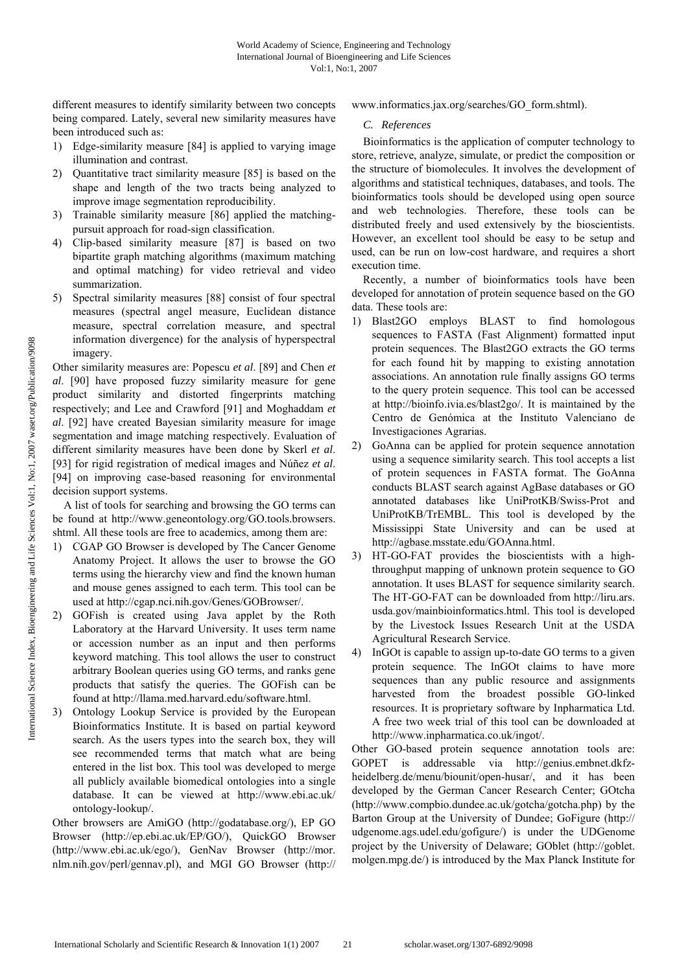different measures to identify similarity between two concepts being compared. Lately, several new similarity measures have been introduced such as:

- 1) Edge-similarity measure [84] is applied to varying image illumination and contrast.
- 2) Quantitative tract similarity measure [85] is based on the shape and length of the two tracts being analyzed to improve image segmentation reproducibility.
- 3) Trainable similarity measure [86] applied the matchingpursuit approach for road-sign classification.
- 4) Clip-based similarity measure [87] is based on two bipartite graph matching algorithms (maximum matching and optimal matching) for video retrieval and video summarization.
- 5) Spectral similarity measures [88] consist of four spectral measures (spectral angel measure, Euclidean distance measure, spectral correlation measure, and spectral information divergence) for the analysis of hyperspectral imagery.

Other similarity measures are: Popescu *et al*. [89] and Chen *et al*. [90] have proposed fuzzy similarity measure for gene product similarity and distorted fingerprints matching respectively; and Lee and Crawford [91] and Moghaddam *et al*. [92] have created Bayesian similarity measure for image segmentation and image matching respectively. Evaluation of different similarity measures have been done by Skerl *et al*. [93] for rigid registration of medical images and Núñez *et al*. [94] on improving case-based reasoning for environmental decision support systems.

A list of tools for searching and browsing the GO terms can be found at http://www.geneontology.org/GO.tools.browsers. shtml. All these tools are free to academics, among them are:

- 1) CGAP GO Browser is developed by The Cancer Genome Anatomy Project. It allows the user to browse the GO terms using the hierarchy view and find the known human and mouse genes assigned to each term. This tool can be used at http://cgap.nci.nih.gov/Genes/GOBrowser/.
- 2) GOFish is created using Java applet by the Roth Laboratory at the Harvard University. It uses term name or accession number as an input and then performs keyword matching. This tool allows the user to construct arbitrary Boolean queries using GO terms, and ranks gene products that satisfy the queries. The GOFish can be found at http://llama.med.harvard.edu/software.html.
- 3) Ontology Lookup Service is provided by the European Bioinformatics Institute. It is based on partial keyword search. As the users types into the search box, they will see recommended terms that match what are being entered in the list box. This tool was developed to merge all publicly available biomedical ontologies into a single database. It can be viewed at http://www.ebi.ac.uk/ ontology-lookup/.

Other browsers are AmiGO (http://godatabase.org/), EP GO Browser (http://ep.ebi.ac.uk/EP/GO/), QuickGO Browser (http://www.ebi.ac.uk/ego/), GenNav Browser (http://mor. nlm.nih.gov/perl/gennav.pl), and MGI GO Browser (http:// www.informatics.jax.org/searches/GO\_form.shtml).

## *C. References*

Bioinformatics is the application of computer technology to store, retrieve, analyze, simulate, or predict the composition or the structure of biomolecules. It involves the development of algorithms and statistical techniques, databases, and tools. The bioinformatics tools should be developed using open source and web technologies. Therefore, these tools can be distributed freely and used extensively by the bioscientists. However, an excellent tool should be easy to be setup and used, can be run on low-cost hardware, and requires a short execution time.

Recently, a number of bioinformatics tools have been developed for annotation of protein sequence based on the GO data. These tools are:

- 1) Blast2GO employs BLAST to find homologous sequences to FASTA (Fast Alignment) formatted input protein sequences. The Blast2GO extracts the GO terms for each found hit by mapping to existing annotation associations. An annotation rule finally assigns GO terms to the query protein sequence. This tool can be accessed at http://bioinfo.ivia.es/blast2go/. It is maintained by the Centro de Genómica at the Instituto Valenciano de Investigaciones Agrarias.
- 2) GoAnna can be applied for protein sequence annotation using a sequence similarity search. This tool accepts a list of protein sequences in FASTA format. The GoAnna conducts BLAST search against AgBase databases or GO annotated databases like UniProtKB/Swiss-Prot and UniProtKB/TrEMBL. This tool is developed by the Mississippi State University and can be used at http://agbase.msstate.edu/GOAnna.html.
- 3) HT-GO-FAT provides the bioscientists with a highthroughput mapping of unknown protein sequence to GO annotation. It uses BLAST for sequence similarity search. The HT-GO-FAT can be downloaded from http://liru.ars. usda.gov/mainbioinformatics.html. This tool is developed by the Livestock Issues Research Unit at the USDA Agricultural Research Service.
- 4) InGOt is capable to assign up-to-date GO terms to a given protein sequence. The InGOt claims to have more sequences than any public resource and assignments harvested from the broadest possible GO-linked resources. It is proprietary software by Inpharmatica Ltd. A free two week trial of this tool can be downloaded at http://www.inpharmatica.co.uk/ingot/.

Other GO-based protein sequence annotation tools are: GOPET is addressable via http://genius.embnet.dkfzheidelberg.de/menu/biounit/open-husar/, and it has been developed by the German Cancer Research Center; GOtcha (http://www.compbio.dundee.ac.uk/gotcha/gotcha.php) by the Barton Group at the University of Dundee; GoFigure (http:// udgenome.ags.udel.edu/gofigure/) is under the UDGenome project by the University of Delaware; GOblet (http://goblet. molgen.mpg.de/) is introduced by the Max Planck Institute for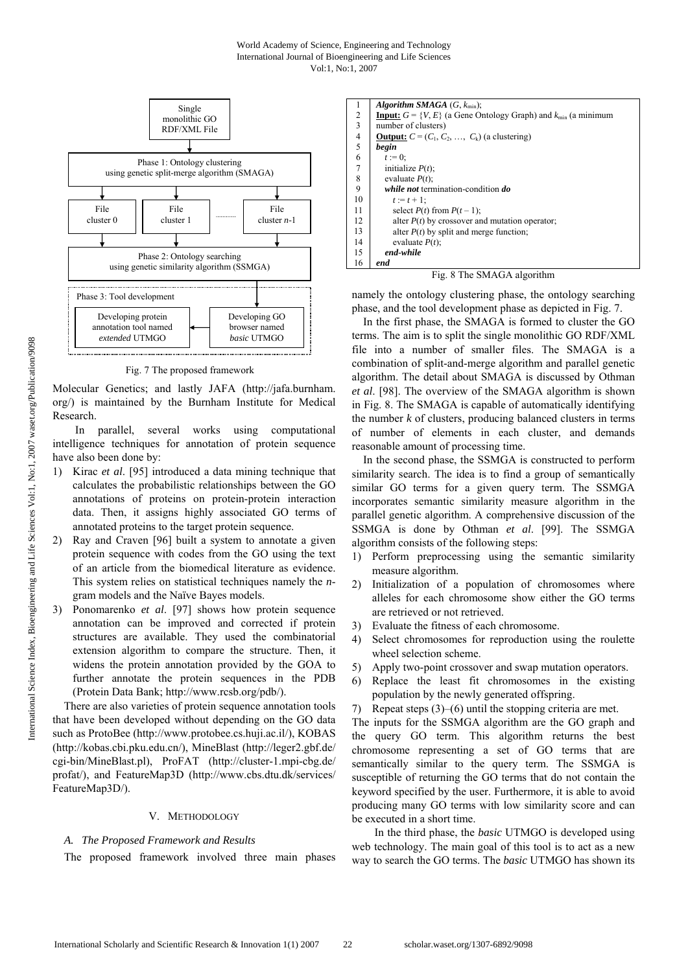

Fig. 7 The proposed framework

Molecular Genetics; and lastly JAFA (http://jafa.burnham. org/) is maintained by the Burnham Institute for Medical Research.

 In parallel, several works using computational intelligence techniques for annotation of protein sequence have also been done by:

- 1) Kirac *et al*. [95] introduced a data mining technique that calculates the probabilistic relationships between the GO annotations of proteins on protein-protein interaction data. Then, it assigns highly associated GO terms of annotated proteins to the target protein sequence.
- 2) Ray and Craven [96] built a system to annotate a given protein sequence with codes from the GO using the text of an article from the biomedical literature as evidence. This system relies on statistical techniques namely the *n*gram models and the Naïve Bayes models.
- 3) Ponomarenko *et al*. [97] shows how protein sequence annotation can be improved and corrected if protein structures are available. They used the combinatorial extension algorithm to compare the structure. Then, it widens the protein annotation provided by the GOA to further annotate the protein sequences in the PDB (Protein Data Bank; http://www.rcsb.org/pdb/).

There are also varieties of protein sequence annotation tools that have been developed without depending on the GO data such as ProtoBee (http://www.protobee.cs.huji.ac.il/), KOBAS (http://kobas.cbi.pku.edu.cn/), MineBlast (http://leger2.gbf.de/ cgi-bin/MineBlast.pl), ProFAT (http://cluster-1.mpi-cbg.de/ profat/), and FeatureMap3D (http://www.cbs.dtu.dk/services/ FeatureMap3D/).

## V. METHODOLOGY

## *A. The Proposed Framework and Results*

The proposed framework involved three main phases

| 1                       | Algorithm SMAGA $(G, k_{\text{min}})$ ;                                       |
|-------------------------|-------------------------------------------------------------------------------|
| 2                       | <b>Input:</b> $G = \{V, E\}$ (a Gene Ontology Graph) and $k_{min}$ (a minimum |
| $\overline{\mathbf{3}}$ | number of clusters)                                                           |
| $\frac{4}{5}$           | <b>Output:</b> $C = (C_1, C_2, \ldots, C_k)$ (a clustering)                   |
|                         | begin                                                                         |
| 6                       | $t := 0$ :                                                                    |
| 7                       | initialize $P(t)$ ;                                                           |
| 8                       | evaluate $P(t)$ ;                                                             |
| 9                       | while not termination-condition do                                            |
| 10                      | $t := t + 1$ :                                                                |
| 11                      | select $P(t)$ from $P(t-1)$ ;                                                 |
| 12                      | alter $P(t)$ by crossover and mutation operator;                              |
| 13                      | alter $P(t)$ by split and merge function;                                     |
| 14                      | evaluate $P(t)$ :                                                             |
| 15                      | end-while                                                                     |
| 16                      | end                                                                           |
|                         |                                                                               |

Fig. 8 The SMAGA algorithm

namely the ontology clustering phase, the ontology searching phase, and the tool development phase as depicted in Fig. 7.

In the first phase, the SMAGA is formed to cluster the GO terms. The aim is to split the single monolithic GO RDF/XML file into a number of smaller files. The SMAGA is a combination of split-and-merge algorithm and parallel genetic algorithm. The detail about SMAGA is discussed by Othman *et al*. [98]. The overview of the SMAGA algorithm is shown in Fig. 8. The SMAGA is capable of automatically identifying the number  $k$  of clusters, producing balanced clusters in terms of number of elements in each cluster, and demands reasonable amount of processing time.

In the second phase, the SSMGA is constructed to perform similarity search. The idea is to find a group of semantically similar GO terms for a given query term. The SSMGA incorporates semantic similarity measure algorithm in the parallel genetic algorithm. A comprehensive discussion of the SSMGA is done by Othman *et al*. [99]. The SSMGA algorithm consists of the following steps:

- 1) Perform preprocessing using the semantic similarity measure algorithm.
- 2) Initialization of a population of chromosomes where alleles for each chromosome show either the GO terms are retrieved or not retrieved.
- 3) Evaluate the fitness of each chromosome.
- 4) Select chromosomes for reproduction using the roulette wheel selection scheme.
- 5) Apply two-point crossover and swap mutation operators.
- 6) Replace the least fit chromosomes in the existing population by the newly generated offspring.
- 7) Repeat steps (3)–(6) until the stopping criteria are met.

The inputs for the SSMGA algorithm are the GO graph and the query GO term. This algorithm returns the best chromosome representing a set of GO terms that are semantically similar to the query term. The SSMGA is susceptible of returning the GO terms that do not contain the keyword specified by the user. Furthermore, it is able to avoid producing many GO terms with low similarity score and can be executed in a short time.

 In the third phase, the *basic* UTMGO is developed using web technology. The main goal of this tool is to act as a new way to search the GO terms. The *basic* UTMGO has shown its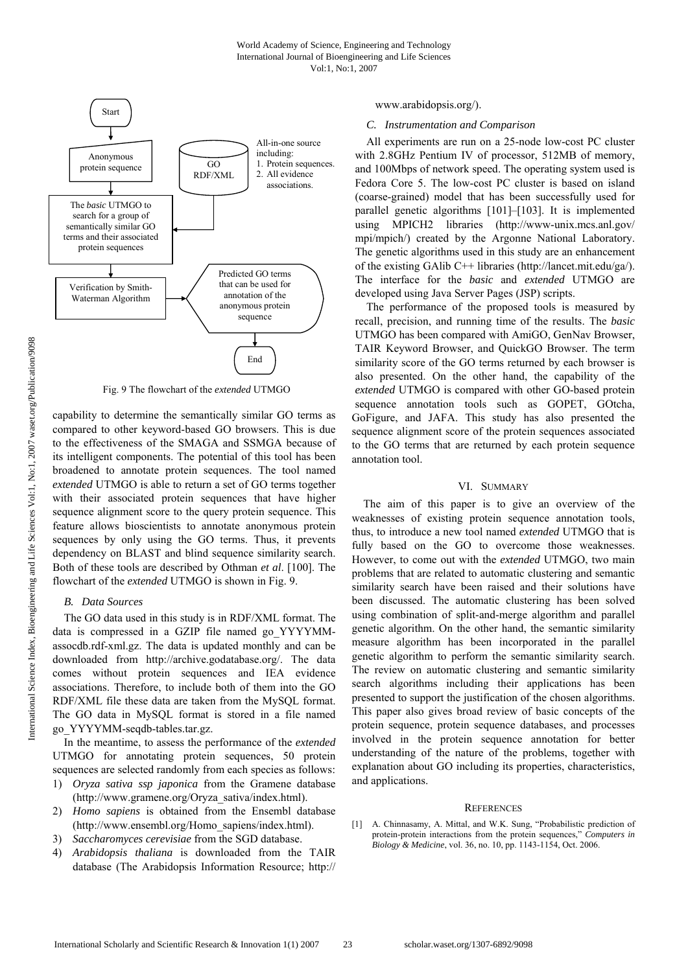

Fig. 9 The flowchart of the *extended* UTMGO

capability to determine the semantically similar GO terms as compared to other keyword-based GO browsers. This is due to the effectiveness of the SMAGA and SSMGA because of its intelligent components. The potential of this tool has been broadened to annotate protein sequences. The tool named *extended* UTMGO is able to return a set of GO terms together with their associated protein sequences that have higher sequence alignment score to the query protein sequence. This feature allows bioscientists to annotate anonymous protein sequences by only using the GO terms. Thus, it prevents dependency on BLAST and blind sequence similarity search. Both of these tools are described by Othman *et al*. [100]. The flowchart of the *extended* UTMGO is shown in Fig. 9.

#### *B. Data Sources*

The GO data used in this study is in RDF/XML format. The data is compressed in a GZIP file named go\_YYYYMMassocdb.rdf-xml.gz. The data is updated monthly and can be downloaded from http://archive.godatabase.org/. The data comes without protein sequences and IEA evidence associations. Therefore, to include both of them into the GO RDF/XML file these data are taken from the MySQL format. The GO data in MySQL format is stored in a file named go\_YYYYMM-seqdb-tables.tar.gz.

In the meantime, to assess the performance of the *extended* UTMGO for annotating protein sequences, 50 protein sequences are selected randomly from each species as follows:

- 1) *Oryza sativa ssp japonica* from the Gramene database (http://www.gramene.org/Oryza\_sativa/index.html).
- 2) *Homo sapiens* is obtained from the Ensembl database (http://www.ensembl.org/Homo\_sapiens/index.html).
- 3) *Saccharomyces cerevisiae* from the SGD database.
- 4) *Arabidopsis thaliana* is downloaded from the TAIR database (The Arabidopsis Information Resource; http://

#### www.arabidopsis.org/).

## *C. Instrumentation and Comparison*

All experiments are run on a 25-node low-cost PC cluster with 2.8GHz Pentium IV of processor, 512MB of memory, and 100Mbps of network speed. The operating system used is Fedora Core 5. The low-cost PC cluster is based on island (coarse-grained) model that has been successfully used for parallel genetic algorithms [101]–[103]. It is implemented using MPICH2 libraries (http://www-unix.mcs.anl.gov/ mpi/mpich/) created by the Argonne National Laboratory. The genetic algorithms used in this study are an enhancement of the existing GAlib C++ libraries (http://lancet.mit.edu/ga/). The interface for the *basic* and *extended* UTMGO are developed using Java Server Pages (JSP) scripts.

The performance of the proposed tools is measured by recall, precision, and running time of the results. The *basic* UTMGO has been compared with AmiGO, GenNav Browser, TAIR Keyword Browser, and QuickGO Browser. The term similarity score of the GO terms returned by each browser is also presented. On the other hand, the capability of the *extended* UTMGO is compared with other GO-based protein sequence annotation tools such as GOPET, GOtcha, GoFigure, and JAFA. This study has also presented the sequence alignment score of the protein sequences associated to the GO terms that are returned by each protein sequence annotation tool.

### VI. SUMMARY

The aim of this paper is to give an overview of the weaknesses of existing protein sequence annotation tools, thus, to introduce a new tool named *extended* UTMGO that is fully based on the GO to overcome those weaknesses. However, to come out with the *extended* UTMGO, two main problems that are related to automatic clustering and semantic similarity search have been raised and their solutions have been discussed. The automatic clustering has been solved using combination of split-and-merge algorithm and parallel genetic algorithm. On the other hand, the semantic similarity measure algorithm has been incorporated in the parallel genetic algorithm to perform the semantic similarity search. The review on automatic clustering and semantic similarity search algorithms including their applications has been presented to support the justification of the chosen algorithms. This paper also gives broad review of basic concepts of the protein sequence, protein sequence databases, and processes involved in the protein sequence annotation for better understanding of the nature of the problems, together with explanation about GO including its properties, characteristics, and applications.

#### **REFERENCES**

[1] A. Chinnasamy, A. Mittal, and W.K. Sung, "Probabilistic prediction of protein-protein interactions from the protein sequences," *Computers in Biology & Medicine*, vol. 36, no. 10, pp. 1143-1154, Oct. 2006.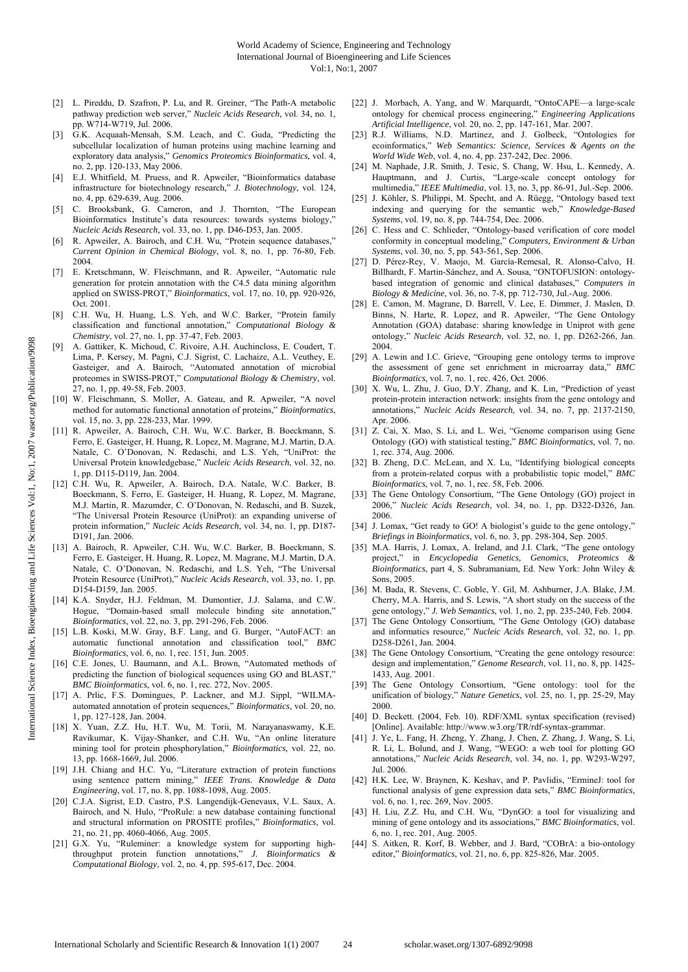- [2] L. Pireddu, D. Szafron, P. Lu, and R. Greiner, "The Path-A metabolic pathway prediction web server," *Nucleic Acids Research*, vol. 34, no. 1, pp. W714-W719, Jul. 2006.
- [3] G.K. Acquaah-Mensah, S.M. Leach, and C. Guda, "Predicting the subcellular localization of human proteins using machine learning and exploratory data analysis," *Genomics Proteomics Bioinformatics*, vol. 4, no. 2, pp. 120-133, May 2006.
- [4] E.J. Whitfield, M. Pruess, and R. Apweiler, "Bioinformatics database infrastructure for biotechnology research," *J. Biotechnology*, vol. 124, no. 4, pp. 629-639, Aug. 2006.
- [5] C. Brooksbank, G. Cameron, and J. Thornton, "The European Bioinformatics Institute's data resources: towards systems biology," *Nucleic Acids Research*, vol. 33, no. 1, pp. D46-D53, Jan. 2005.
- [6] R. Apweiler, A. Bairoch, and C.H. Wu, "Protein sequence databases," *Current Opinion in Chemical Biology*, vol. 8, no. 1, pp. 76-80, Feb. 2004.
- [7] E. Kretschmann, W. Fleischmann, and R. Apweiler, "Automatic rule generation for protein annotation with the C4.5 data mining algorithm applied on SWISS-PROT," *Bioinformatics*, vol. 17, no. 10, pp. 920-926, Oct. 2001.
- [8] C.H. Wu, H. Huang, L.S. Yeh, and W.C. Barker, "Protein family classification and functional annotation," *Computational Biology & Chemistry*, vol. 27, no. 1, pp. 37-47, Feb. 2003.
- [9] A. Gattiker, K. Michoud, C. Rivoire, A.H. Auchincloss, E. Coudert, T. Lima, P. Kersey, M. Pagni, C.J. Sigrist, C. Lachaize, A.L. Veuthey, E. Gasteiger, and A. Bairoch, "Automated annotation of microbial proteomes in SWISS-PROT," *Computational Biology & Chemistry*, vol. 27, no. 1, pp. 49-58, Feb. 2003.
- [10] W. Fleischmann, S. Moller, A. Gateau, and R. Apweiler, "A novel method for automatic functional annotation of proteins," *Bioinformatics*, vol. 15, no. 3, pp. 228-233, Mar. 1999.
- [11] R. Apweiler, A. Bairoch, C.H. Wu, W.C. Barker, B. Boeckmann, S. Ferro, E. Gasteiger, H. Huang, R. Lopez, M. Magrane, M.J. Martin, D.A. Natale, C. O'Donovan, N. Redaschi, and L.S. Yeh, "UniProt: the Universal Protein knowledgebase," *Nucleic Acids Research*, vol. 32, no. 1, pp. D115-D119, Jan. 2004.
- [12] C.H. Wu, R. Apweiler, A. Bairoch, D.A. Natale, W.C. Barker, B. Boeckmann, S. Ferro, E. Gasteiger, H. Huang, R. Lopez, M. Magrane, M.J. Martin, R. Mazumder, C. O'Donovan, N. Redaschi, and B. Suzek, "The Universal Protein Resource (UniProt): an expanding universe of protein information," *Nucleic Acids Research*, vol. 34, no. 1, pp. D187- D191, Jan. 2006.
- [13] A. Bairoch, R. Apweiler, C.H. Wu, W.C. Barker, B. Boeckmann, S. Ferro, E. Gasteiger, H. Huang, R. Lopez, M. Magrane, M.J. Martin, D.A. Natale, C. O'Donovan, N. Redaschi, and L.S. Yeh, "The Universal Protein Resource (UniProt)," *Nucleic Acids Research*, vol. 33, no. 1, pp. D154-D159, Jan. 2005.
- [14] K.A. Snyder, H.J. Feldman, M. Dumontier, J.J. Salama, and C.W. Hogue, "Domain-based small molecule binding site annotation," *Bioinformatics*, vol. 22, no. 3, pp. 291-296, Feb. 2006.
- [15] L.B. Koski, M.W. Gray, B.F. Lang, and G. Burger, "AutoFACT: an automatic functional annotation and classification tool," *BMC Bioinformatics*, vol. 6, no. 1, rec. 151, Jun. 2005.
- [16] C.E. Jones, U. Baumann, and A.L. Brown, "Automated methods of predicting the function of biological sequences using GO and BLAST," *BMC Bioinformatics*, vol. 6, no. 1, rec. 272, Nov. 2005.
- [17] A. Prlic, F.S. Domingues, P. Lackner, and M.J. Sippl, "WILMAautomated annotation of protein sequences," *Bioinformatics*, vol. 20, no. 1, pp. 127-128, Jan. 2004.
- [18] X. Yuan, Z.Z. Hu, H.T. Wu, M. Torii, M. Narayanaswamy, K.E. Ravikumar, K. Vijay-Shanker, and C.H. Wu, "An online literature mining tool for protein phosphorylation," *Bioinformatics*, vol. 22, no. 13, pp. 1668-1669, Jul. 2006.
- [19] J.H. Chiang and H.C. Yu, "Literature extraction of protein functions using sentence pattern mining," *IEEE Trans. Knowledge & Data Engineering*, vol. 17, no. 8, pp. 1088-1098, Aug. 2005.
- [20] C.J.A. Sigrist, E.D. Castro, P.S. Langendijk-Genevaux, V.L. Saux, A. Bairoch, and N. Hulo, "ProRule: a new database containing functional and structural information on PROSITE profiles," *Bioinformatics*, vol. 21, no. 21, pp. 4060-4066, Aug. 2005.
- [21] G.X. Yu, "Ruleminer: a knowledge system for supporting highthroughput protein function annotations," *J. Bioinformatics & Computational Biology*, vol. 2, no. 4, pp. 595-617, Dec. 2004.
- [22] J. Morbach, A. Yang, and W. Marquardt, "OntoCAPE—a large-scale ontology for chemical process engineering," *Engineering Applications Artificial Intelligence*, vol. 20, no. 2, pp. 147-161, Mar. 2007.
- [23] R.J. Williams, N.D. Martinez, and J. Golbeck, "Ontologies for ecoinformatics," *Web Semantics: Science, Services & Agents on the World Wide Web*, vol. 4, no. 4, pp. 237-242, Dec. 2006.
- [24] M. Naphade, J.R. Smith, J. Tesic, S. Chang, W. Hsu, L. Kennedy, A. Hauptmann, and J. Curtis, "Large-scale concept ontology for multimedia," *IEEE Multimedia*, vol. 13, no. 3, pp. 86-91, Jul.-Sep. 2006.
- [25] J. Köhler, S. Philippi, M. Specht, and A. Rüegg, "Ontology based text indexing and querying for the semantic web," *Knowledge-Based Systems*, vol. 19, no. 8, pp. 744-754, Dec. 2006.
- [26] C. Hess and C. Schlieder, "Ontology-based verification of core model conformity in conceptual modeling," *Computers, Environment & Urban Systems*, vol. 30, no. 5, pp. 543-561, Sep. 2006.
- [27] D. Pérez-Rey, V. Maojo, M. García-Remesal, R. Alonso-Calvo, H. Billhardt, F. Martin-Sánchez, and A. Sousa, "ONTOFUSION: ontologybased integration of genomic and clinical databases," *Computers in Biology & Medicine*, vol. 36, no. 7-8, pp. 712-730, Jul.-Aug. 2006.
- [28] E. Camon, M. Magrane, D. Barrell, V. Lee, E. Dimmer, J. Maslen, D. Binns, N. Harte, R. Lopez, and R. Apweiler, "The Gene Ontology Annotation (GOA) database: sharing knowledge in Uniprot with gene ontology," *Nucleic Acids Research*, vol. 32, no. 1, pp. D262-266, Jan. 2004.
- [29] A. Lewin and I.C. Grieve, "Grouping gene ontology terms to improve the assessment of gene set enrichment in microarray data," *BMC Bioinformatics*, vol. 7, no. 1, rec. 426, Oct. 2006.
- [30] X. Wu, L. Zhu, J. Guo, D.Y. Zhang, and K. Lin, "Prediction of yeast protein-protein interaction network: insights from the gene ontology and annotations," *Nucleic Acids Research*, vol. 34, no. 7, pp. 2137-2150, Apr. 2006.
- [31] Z. Cai, X. Mao, S. Li, and L. Wei, "Genome comparison using Gene Ontology (GO) with statistical testing," *BMC Bioinformatics*, vol. 7, no. 1, rec. 374, Aug. 2006.
- [32] B. Zheng, D.C. McLean, and X. Lu, "Identifying biological concepts from a protein-related corpus with a probabilistic topic model," *BMC Bioinformatics*, vol. 7, no. 1, rec. 58, Feb. 2006.
- [33] The Gene Ontology Consortium, "The Gene Ontology (GO) project in 2006," *Nucleic Acids Research*, vol. 34, no. 1, pp. D322-D326, Jan. 2006.
- [34] J. Lomax, "Get ready to GO! A biologist's guide to the gene ontology," *Briefings in Bioinformatics*, vol. 6, no. 3, pp. 298-304, Sep. 2005.
- [35] M.A. Harris, J. Lomax, A. Ireland, and J.I. Clark, "The gene ontology project," in *Encyclopedia Genetics, Genomics, Proteomics Bioinformatics*, part 4, S. Subramaniam, Ed. New York: John Wiley & Sons, 2005.
- [36] M. Bada, R. Stevens, C. Goble, Y. Gil, M. Ashburner, J.A. Blake, J.M. Cherry, M.A. Harris, and S. Lewis, "A short study on the success of the gene ontology," *J. Web Semantics*, vol. 1, no. 2, pp. 235-240, Feb. 2004.
- [37] The Gene Ontology Consortium, "The Gene Ontology (GO) database and informatics resource," *Nucleic Acids Research*, vol. 32, no. 1, pp. D258-D261, Jan. 2004.
- [38] The Gene Ontology Consortium, "Creating the gene ontology resource: design and implementation," *Genome Research*, vol. 11, no. 8, pp. 1425- 1433, Aug. 2001.
- [39] The Gene Ontology Consortium, "Gene ontology: tool for the unification of biology," *Nature Genetics*, vol. 25, no. 1, pp. 25-29, May 2000.
- [40] D. Beckett. (2004, Feb. 10). RDF/XML syntax specification (revised) [Online]. Available: http://www.w3.org/TR/rdf-syntax-grammar.
- [41] J. Ye, L. Fang, H. Zheng, Y. Zhang, J. Chen, Z. Zhang, J. Wang, S. Li, R. Li, L. Bolund, and J. Wang, "WEGO: a web tool for plotting GO annotations," *Nucleic Acids Research*, vol. 34, no. 1, pp. W293-W297, Jul. 2006.
- [42] H.K. Lee, W. Braynen, K. Keshav, and P. Pavlidis, "ErmineJ: tool for functional analysis of gene expression data sets," *BMC Bioinformatics*, vol. 6, no. 1, rec. 269, Nov. 2005.
- [43] H. Liu, Z.Z. Hu, and C.H. Wu, "DynGO: a tool for visualizing and mining of gene ontology and its associations," *BMC Bioinformatics*, vol. 6, no. 1, rec. 201, Aug. 2005.
- [44] S. Aitken, R. Korf, B. Webber, and J. Bard, "COBrA: a bio-ontology editor," *Bioinformatics*, vol. 21, no. 6, pp. 825-826, Mar. 2005.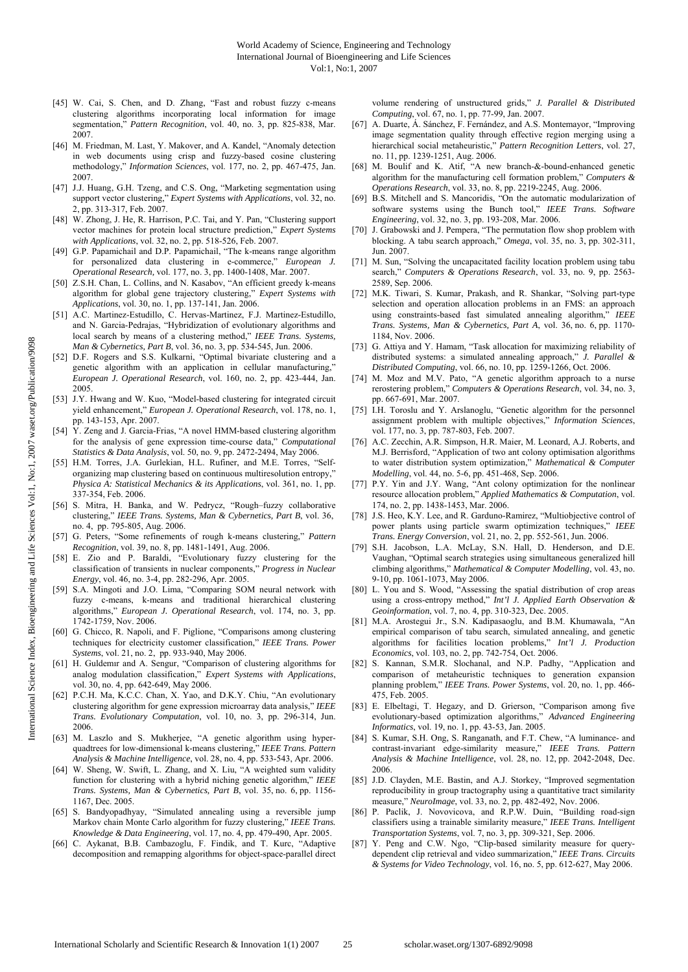- [45] W. Cai, S. Chen, and D. Zhang, "Fast and robust fuzzy c-means clustering algorithms incorporating local information for image segmentation," *Pattern Recognition*, vol. 40, no. 3, pp. 825-838, Mar. 2007.
- [46] M. Friedman, M. Last, Y. Makover, and A. Kandel, "Anomaly detection in web documents using crisp and fuzzy-based cosine clustering methodology," *Information Sciences*, vol. 177, no. 2, pp. 467-475, Jan. 2007.
- [47] J.J. Huang, G.H. Tzeng, and C.S. Ong, "Marketing segmentation using support vector clustering," *Expert Systems with Applications*, vol. 32, no. 2, pp. 313-317, Feb. 2007.
- [48] W. Zhong, J. He, R. Harrison, P.C. Tai, and Y. Pan, "Clustering support vector machines for protein local structure prediction," *Expert Systems with Applications*, vol. 32, no. 2, pp. 518-526, Feb. 2007.
- [49] G.P. Papamichail and D.P. Papamichail, "The k-means range algorithm for personalized data clustering in e-commerce," *European J. Operational Research,* vol. 177, no. 3, pp. 1400-1408, Mar. 2007.
- [50] Z.S.H. Chan, L. Collins, and N. Kasabov, "An efficient greedy k-means algorithm for global gene trajectory clustering," *Expert Systems with Applications*, vol. 30, no. 1, pp. 137-141, Jan. 2006.
- [51] A.C. Martinez-Estudillo, C. Hervas-Martinez, F.J. Martinez-Estudillo, and N. Garcia-Pedrajas, "Hybridization of evolutionary algorithms and local search by means of a clustering method," *IEEE Trans. Systems, Man & Cybernetics, Part B*, vol. 36, no. 3, pp. 534-545, Jun. 2006.
- [52] D.F. Rogers and S.S. Kulkarni, "Optimal bivariate clustering and a genetic algorithm with an application in cellular manufacturing, *European J. Operational Research*, vol. 160, no. 2, pp. 423-444, Jan. 2005.
- [53] J.Y. Hwang and W. Kuo, "Model-based clustering for integrated circuit yield enhancement," *European J. Operational Research*, vol. 178, no. 1, pp. 143-153, Apr. 2007.
- [54] Y. Zeng and J. Garcia-Frias, "A novel HMM-based clustering algorithm for the analysis of gene expression time-course data," *Computational Statistics & Data Analysis*, vol. 50, no. 9, pp. 2472-2494, May 2006.
- [55] H.M. Torres, J.A. Gurlekian, H.L. Rufiner, and M.E. Torres, "Selforganizing map clustering based on continuous multiresolution entropy," *Physica A: Statistical Mechanics & its Applications*, vol. 361, no. 1, pp. 337-354, Feb. 2006.
- [56] S. Mitra, H. Banka, and W. Pedrycz, "Rough–fuzzy collaborative clustering," *IEEE Trans. Systems, Man & Cybernetics, Part B*, vol. 36, no. 4, pp. 795-805, Aug. 2006.
- [57] G. Peters, "Some refinements of rough k-means clustering," *Pattern Recognition*, vol. 39, no. 8, pp. 1481-1491, Aug. 2006.
- [58] E. Zio and P. Baraldi, "Evolutionary fuzzy clustering for the classification of transients in nuclear components," *Progress in Nuclear Energy*, vol. 46, no. 3-4, pp. 282-296, Apr. 2005.
- [59] S.A. Mingoti and J.O. Lima, "Comparing SOM neural network with fuzzy c-means, k-means and traditional hierarchical clustering algorithms," *European J. Operational Research*, vol. 174, no. 3, pp. 1742-1759, Nov. 2006.
- [60] G. Chicco, R. Napoli, and F. Piglione, "Comparisons among clustering techniques for electricity customer classification," *IEEE Trans. Power Systems*, vol. 21, no. 2, pp. 933-940, May 2006.
- [61] H. Guldemır and A. Sengur, "Comparison of clustering algorithms for analog modulation classification," *Expert Systems with Applications*, vol. 30, no. 4, pp. 642-649, May 2006.
- [62] P.C.H. Ma, K.C.C. Chan, X. Yao, and D.K.Y. Chiu, "An evolutionary clustering algorithm for gene expression microarray data analysis," *IEEE Trans. Evolutionary Computation*, vol. 10, no. 3, pp. 296-314, Jun. 2006.
- [63] M. Laszlo and S. Mukherjee, "A genetic algorithm using hyperquadtrees for low-dimensional k-means clustering," *IEEE Trans. Pattern Analysis & Machine Intelligence*, vol. 28, no. 4, pp. 533-543, Apr. 2006.
- [64] W. Sheng, W. Swift, L. Zhang, and X. Liu, "A weighted sum validity function for clustering with a hybrid niching genetic algorithm," *IEEE Trans. Systems, Man & Cybernetics, Part B*, vol. 35, no. 6, pp. 1156- 1167, Dec. 2005.
- [65] S. Bandyopadhyay, "Simulated annealing using a reversible jump Markov chain Monte Carlo algorithm for fuzzy clustering," *IEEE Trans. Knowledge & Data Engineering*, vol. 17, no. 4, pp. 479-490, Apr. 2005.
- [66] C. Aykanat, B.B. Cambazoglu, F. Findik, and T. Kurc, "Adaptive decomposition and remapping algorithms for object-space-parallel direct

volume rendering of unstructured grids," *J. Parallel & Distributed Computing*, vol. 67, no. 1, pp. 77-99, Jan. 2007.

- [67] A. Duarte, Á. Sánchez, F. Fernández, and A.S. Montemayor, "Improving image segmentation quality through effective region merging using a hierarchical social metaheuristic," *Pattern Recognition Letters*, vol. 27, no. 11, pp. 1239-1251, Aug. 2006.
- [68] M. Boulif and K. Atif, "A new branch-&-bound-enhanced genetic algorithm for the manufacturing cell formation problem," *Computers & Operations Research*, vol. 33, no. 8, pp. 2219-2245, Aug. 2006.
- [69] B.S. Mitchell and S. Mancoridis, "On the automatic modularization of software systems using the Bunch tool," *IEEE Trans. Software Engineering*, vol. 32, no. 3, pp. 193-208, Mar. 2006.
- [70] J. Grabowski and J. Pempera, "The permutation flow shop problem with blocking. A tabu search approach," *Omega*, vol. 35, no. 3, pp. 302-311, Jun. 2007.
- [71] M. Sun, "Solving the uncapacitated facility location problem using tabu search," *Computers & Operations Research*, vol. 33, no. 9, pp. 2563- 2589, Sep. 2006.
- [72] M.K. Tiwari, S. Kumar, Prakash, and R. Shankar, "Solving part-type selection and operation allocation problems in an FMS: an approach using constraints-based fast simulated annealing algorithm," *IEEE Trans. Systems, Man & Cybernetics, Part A*, vol. 36, no. 6, pp. 1170- 1184, Nov. 2006.
- [73] G. Attiya and Y. Hamam, "Task allocation for maximizing reliability of distributed systems: a simulated annealing approach," *J. Parallel & Distributed Computing*, vol. 66, no. 10, pp. 1259-1266, Oct. 2006.
- [74] M. Moz and M.V. Pato, "A genetic algorithm approach to a nurse rerostering problem," *Computers & Operations Research*, vol. 34, no. 3, pp. 667-691, Mar. 2007.
- [75] I.H. Toroslu and Y. Arslanoglu, "Genetic algorithm for the personnel assignment problem with multiple objectives," *Information Sciences*, vol. 177, no. 3, pp. 787-803, Feb. 2007.
- [76] A.C. Zecchin, A.R. Simpson, H.R. Maier, M. Leonard, A.J. Roberts, and M.J. Berrisford, "Application of two ant colony optimisation algorithms to water distribution system optimization," *Mathematical & Computer Modelling*, vol. 44, no. 5-6, pp. 451-468, Sep. 2006.
- [77] P.Y. Yin and J.Y. Wang, "Ant colony optimization for the nonlinear resource allocation problem," *Applied Mathematics & Computation*, vol. 174, no. 2, pp. 1438-1453, Mar. 2006.
- [78] J.S. Heo, K.Y. Lee, and R. Garduno-Ramirez, "Multiobjective control of power plants using particle swarm optimization techniques," *IEEE Trans. Energy Conversion*, vol. 21, no. 2, pp. 552-561, Jun. 2006.
- [79] S.H. Jacobson, L.A. McLay, S.N. Hall, D. Henderson, and D.E. Vaughan, "Optimal search strategies using simultaneous generalized hill climbing algorithms," *Mathematical & Computer Modelling*, vol. 43, no. 9-10, pp. 1061-1073, May 2006.
- [80] L. You and S. Wood, "Assessing the spatial distribution of crop areas using a cross-entropy method," *Int'l J. Applied Earth Observation & Geoinformation*, vol. 7, no. 4, pp. 310-323, Dec. 2005.
- [81] M.A. Arostegui Jr., S.N. Kadipasaoglu, and B.M. Khumawala, "An empirical comparison of tabu search, simulated annealing, and genetic algorithms for facilities location problems," *Int'l J. Production Economics*, vol. 103, no. 2, pp. 742-754, Oct. 2006.
- [82] S. Kannan, S.M.R. Slochanal, and N.P. Padhy, "Application and comparison of metaheuristic techniques to generation expansion planning problem," *IEEE Trans. Power Systems*, vol. 20, no. 1, pp. 466- 475, Feb. 2005.
- [83] E. Elbeltagi, T. Hegazy, and D. Grierson, "Comparison among five evolutionary-based optimization algorithms," *Advanced Engineering Informatics*, vol. 19, no. 1, pp. 43-53, Jan. 2005.
- [84] S. Kumar, S.H. Ong, S. Ranganath, and F.T. Chew, "A luminance- and contrast-invariant edge-similarity measure," *IEEE Trans. Pattern Analysis & Machine Intelligence*, vol. 28, no. 12, pp. 2042-2048, Dec. 2006.
- [85] J.D. Clayden, M.E. Bastin, and A.J. Storkey, "Improved segmentation reproducibility in group tractography using a quantitative tract similarity measure," *NeuroImage*, vol. 33, no. 2, pp. 482-492, Nov. 2006.
- [86] P. Paclik, J. Novovicova, and R.P.W. Duin, "Building road-sign classifiers using a trainable similarity measure," *IEEE Trans. Intelligent Transportation Systems*, vol. 7, no. 3, pp. 309-321, Sep. 2006.
- [87] Y. Peng and C.W. Ngo, "Clip-based similarity measure for querydependent clip retrieval and video summarization," *IEEE Trans. Circuits & Systems for Video Technology*, vol. 16, no. 5, pp. 612-627, May 2006.